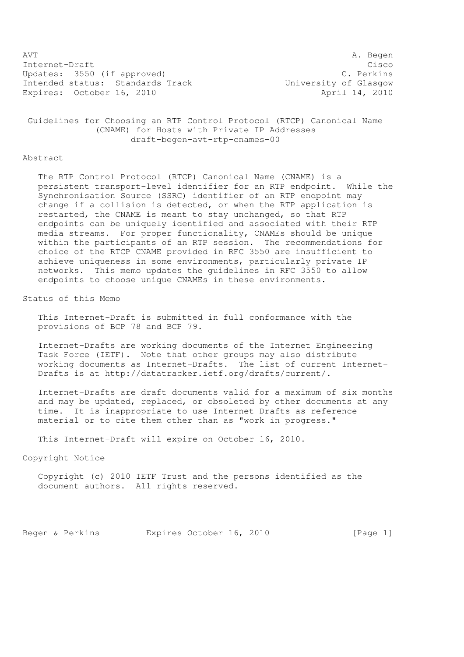AVT A. Begen Internet-Draft Cisco Updates: 3550 (if approved) C. Perkins Intended status: Standards Track Monday University of Glasgow Expires: October 16, 2010 <br>
April 14, 2010

 Guidelines for Choosing an RTP Control Protocol (RTCP) Canonical Name (CNAME) for Hosts with Private IP Addresses draft-begen-avt-rtp-cnames-00

## Abstract

 The RTP Control Protocol (RTCP) Canonical Name (CNAME) is a persistent transport-level identifier for an RTP endpoint. While the Synchronisation Source (SSRC) identifier of an RTP endpoint may change if a collision is detected, or when the RTP application is restarted, the CNAME is meant to stay unchanged, so that RTP endpoints can be uniquely identified and associated with their RTP media streams. For proper functionality, CNAMEs should be unique within the participants of an RTP session. The recommendations for choice of the RTCP CNAME provided in RFC 3550 are insufficient to achieve uniqueness in some environments, particularly private IP networks. This memo updates the guidelines in RFC 3550 to allow endpoints to choose unique CNAMEs in these environments.

Status of this Memo

 This Internet-Draft is submitted in full conformance with the provisions of BCP 78 and BCP 79.

 Internet-Drafts are working documents of the Internet Engineering Task Force (IETF). Note that other groups may also distribute working documents as Internet-Drafts. The list of current Internet- Drafts is at http://datatracker.ietf.org/drafts/current/.

 Internet-Drafts are draft documents valid for a maximum of six months and may be updated, replaced, or obsoleted by other documents at any time. It is inappropriate to use Internet-Drafts as reference material or to cite them other than as "work in progress."

This Internet-Draft will expire on October 16, 2010.

Copyright Notice

 Copyright (c) 2010 IETF Trust and the persons identified as the document authors. All rights reserved.

Begen & Perkins Expires October 16, 2010 [Page 1]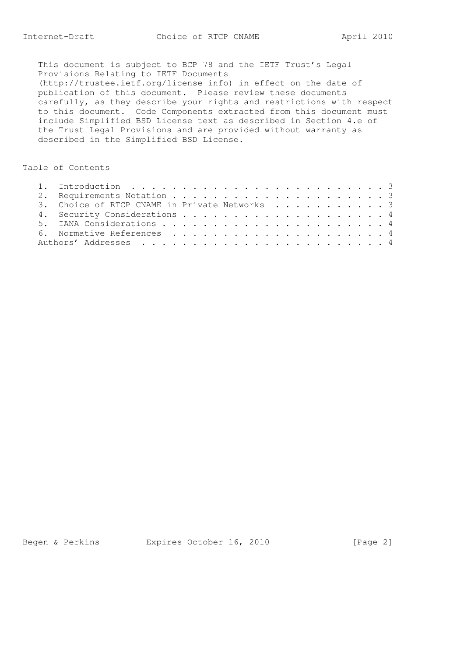This document is subject to BCP 78 and the IETF Trust's Legal Provisions Relating to IETF Documents (http://trustee.ietf.org/license-info) in effect on the date of publication of this document. Please review these documents carefully, as they describe your rights and restrictions with respect to this document. Code Components extracted from this document must include Simplified BSD License text as described in Section 4.e of the Trust Legal Provisions and are provided without warranty as described in the Simplified BSD License.

## Table of Contents

|  | 3. Choice of RTCP CNAME in Private Networks 3 |
|--|-----------------------------------------------|
|  |                                               |
|  |                                               |
|  |                                               |
|  |                                               |

Begen & Perkins Expires October 16, 2010 [Page 2]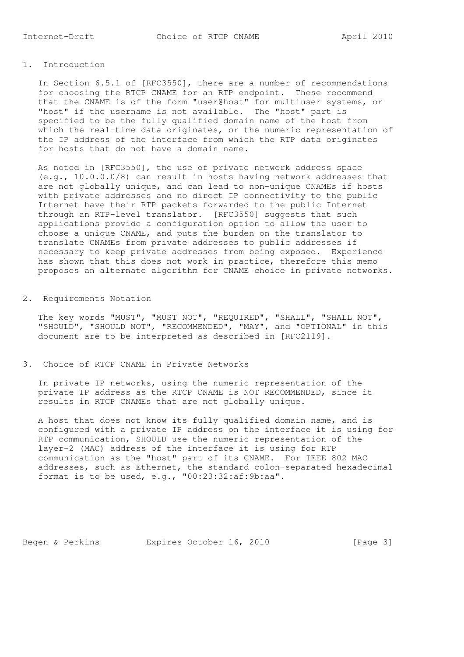## 1. Introduction

 In Section 6.5.1 of [RFC3550], there are a number of recommendations for choosing the RTCP CNAME for an RTP endpoint. These recommend that the CNAME is of the form "user@host" for multiuser systems, or "host" if the username is not available. The "host" part is specified to be the fully qualified domain name of the host from which the real-time data originates, or the numeric representation of the IP address of the interface from which the RTP data originates for hosts that do not have a domain name.

 As noted in [RFC3550], the use of private network address space (e.g., 10.0.0.0/8) can result in hosts having network addresses that are not globally unique, and can lead to non-unique CNAMEs if hosts with private addresses and no direct IP connectivity to the public Internet have their RTP packets forwarded to the public Internet through an RTP-level translator. [RFC3550] suggests that such applications provide a configuration option to allow the user to choose a unique CNAME, and puts the burden on the translator to translate CNAMEs from private addresses to public addresses if necessary to keep private addresses from being exposed. Experience has shown that this does not work in practice, therefore this memo proposes an alternate algorithm for CNAME choice in private networks.

2. Requirements Notation

 The key words "MUST", "MUST NOT", "REQUIRED", "SHALL", "SHALL NOT", "SHOULD", "SHOULD NOT", "RECOMMENDED", "MAY", and "OPTIONAL" in this document are to be interpreted as described in [RFC2119].

3. Choice of RTCP CNAME in Private Networks

 In private IP networks, using the numeric representation of the private IP address as the RTCP CNAME is NOT RECOMMENDED, since it results in RTCP CNAMEs that are not globally unique.

 A host that does not know its fully qualified domain name, and is configured with a private IP address on the interface it is using for RTP communication, SHOULD use the numeric representation of the layer-2 (MAC) address of the interface it is using for RTP communication as the "host" part of its CNAME. For IEEE 802 MAC addresses, such as Ethernet, the standard colon-separated hexadecimal format is to be used, e.g., "00:23:32:af:9b:aa".

Begen & Perkins Expires October 16, 2010 [Page 3]